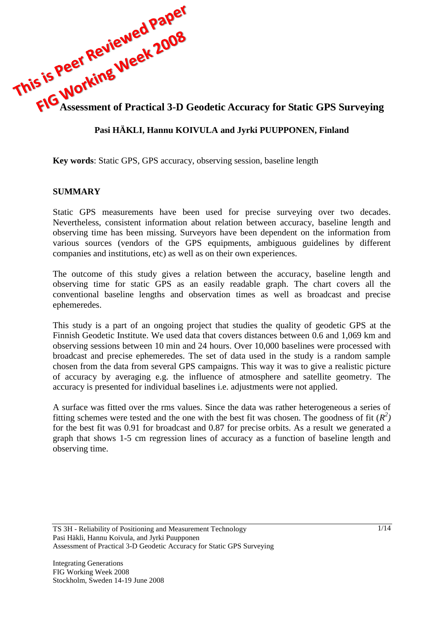

# **Pasi HÄKLI, Hannu KOIVULA and Jyrki PUUPPONEN, Finland**

**Key words**: Static GPS, GPS accuracy, observing session, baseline length

#### **SUMMARY**

Static GPS measurements have been used for precise surveying over two decades. Nevertheless, consistent information about relation between accuracy, baseline length and observing time has been missing. Surveyors have been dependent on the information from various sources (vendors of the GPS equipments, ambiguous guidelines by different companies and institutions, etc) as well as on their own experiences.

The outcome of this study gives a relation between the accuracy, baseline length and observing time for static GPS as an easily readable graph. The chart covers all the conventional baseline lengths and observation times as well as broadcast and precise ephemeredes.

This study is a part of an ongoing project that studies the quality of geodetic GPS at the Finnish Geodetic Institute. We used data that covers distances between 0.6 and 1,069 km and observing sessions between 10 min and 24 hours. Over 10,000 baselines were processed with broadcast and precise ephemeredes. The set of data used in the study is a random sample chosen from the data from several GPS campaigns. This way it was to give a realistic picture of accuracy by averaging e.g. the influence of atmosphere and satellite geometry. The accuracy is presented for individual baselines i.e. adjustments were not applied.

A surface was fitted over the rms values. Since the data was rather heterogeneous a series of fitting schemes were tested and the one with the best fit was chosen. The goodness of fit  $(R^2)$ for the best fit was 0.91 for broadcast and 0.87 for precise orbits. As a result we generated a graph that shows 1-5 cm regression lines of accuracy as a function of baseline length and observing time.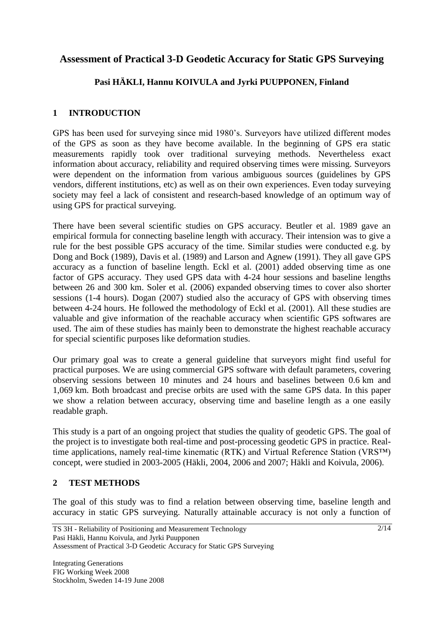# **Assessment of Practical 3-D Geodetic Accuracy for Static GPS Surveying**

## **Pasi HÄKLI, Hannu KOIVULA and Jyrki PUUPPONEN, Finland**

### **1 INTRODUCTION**

GPS has been used for surveying since mid 1980's. Surveyors have utilized different modes of the GPS as soon as they have become available. In the beginning of GPS era static measurements rapidly took over traditional surveying methods. Nevertheless exact information about accuracy, reliability and required observing times were missing. Surveyors were dependent on the information from various ambiguous sources (guidelines by GPS vendors, different institutions, etc) as well as on their own experiences. Even today surveying society may feel a lack of consistent and research-based knowledge of an optimum way of using GPS for practical surveying.

There have been several scientific studies on GPS accuracy. Beutler et al. 1989 gave an empirical formula for connecting baseline length with accuracy. Their intension was to give a rule for the best possible GPS accuracy of the time. Similar studies were conducted e.g. by Dong and Bock (1989), Davis et al. (1989) and Larson and Agnew (1991). They all gave GPS accuracy as a function of baseline length. Eckl et al. (2001) added observing time as one factor of GPS accuracy. They used GPS data with 4-24 hour sessions and baseline lengths between 26 and 300 km. Soler et al. (2006) expanded observing times to cover also shorter sessions (1-4 hours). Dogan (2007) studied also the accuracy of GPS with observing times between 4-24 hours. He followed the methodology of Eckl et al. (2001). All these studies are valuable and give information of the reachable accuracy when scientific GPS softwares are used. The aim of these studies has mainly been to demonstrate the highest reachable accuracy for special scientific purposes like deformation studies.

Our primary goal was to create a general guideline that surveyors might find useful for practical purposes. We are using commercial GPS software with default parameters, covering observing sessions between 10 minutes and 24 hours and baselines between 0.6 km and 1,069 km. Both broadcast and precise orbits are used with the same GPS data. In this paper we show a relation between accuracy, observing time and baseline length as a one easily readable graph.

This study is a part of an ongoing project that studies the quality of geodetic GPS. The goal of the project is to investigate both real-time and post-processing geodetic GPS in practice. Realtime applications, namely real-time kinematic (RTK) and Virtual Reference Station (VRS™) concept, were studied in 2003-2005 (Häkli, 2004, 2006 and 2007; Häkli and Koivula, 2006).

### **2 TEST METHODS**

The goal of this study was to find a relation between observing time, baseline length and accuracy in static GPS surveying. Naturally attainable accuracy is not only a function of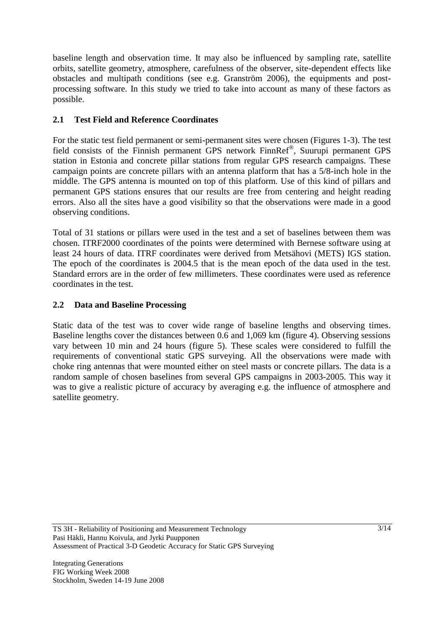baseline length and observation time. It may also be influenced by sampling rate, satellite orbits, satellite geometry, atmosphere, carefulness of the observer, site-dependent effects like obstacles and multipath conditions (see e.g. Granström 2006), the equipments and postprocessing software. In this study we tried to take into account as many of these factors as possible.

## **2.1 Test Field and Reference Coordinates**

For the static test field permanent or semi-permanent sites were chosen (Figures 1-3). The test field consists of the Finnish permanent GPS network FinnRef® , Suurupi permanent GPS station in Estonia and concrete pillar stations from regular GPS research campaigns. These campaign points are concrete pillars with an antenna platform that has a 5/8-inch hole in the middle. The GPS antenna is mounted on top of this platform. Use of this kind of pillars and permanent GPS stations ensures that our results are free from centering and height reading errors. Also all the sites have a good visibility so that the observations were made in a good observing conditions.

Total of 31 stations or pillars were used in the test and a set of baselines between them was chosen. ITRF2000 coordinates of the points were determined with Bernese software using at least 24 hours of data. ITRF coordinates were derived from Metsähovi (METS) IGS station. The epoch of the coordinates is 2004.5 that is the mean epoch of the data used in the test. Standard errors are in the order of few millimeters. These coordinates were used as reference coordinates in the test.

### **2.2 Data and Baseline Processing**

Static data of the test was to cover wide range of baseline lengths and observing times. Baseline lengths cover the distances between 0.6 and 1,069 km (figure 4). Observing sessions vary between 10 min and 24 hours (figure 5). These scales were considered to fulfill the requirements of conventional static GPS surveying. All the observations were made with choke ring antennas that were mounted either on steel masts or concrete pillars. The data is a random sample of chosen baselines from several GPS campaigns in 2003-2005. This way it was to give a realistic picture of accuracy by averaging e.g. the influence of atmosphere and satellite geometry.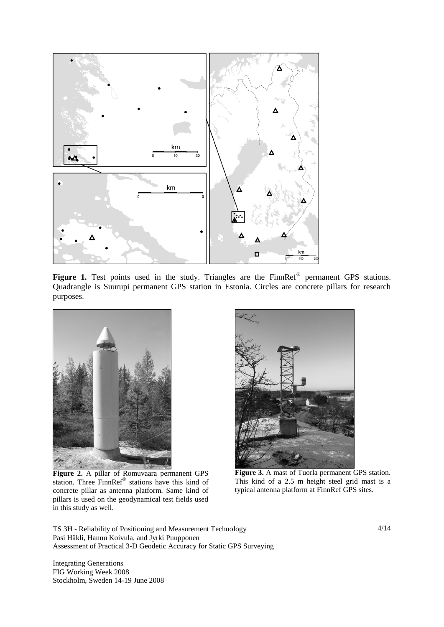

Figure 1. Test points used in the study. Triangles are the FinnRef<sup>®</sup> permanent GPS stations. Quadrangle is Suurupi permanent GPS station in Estonia. Circles are concrete pillars for research purposes.



**Figure 2.** A pillar of Romuvaara permanent GPS station. Three FinnRef® stations have this kind of concrete pillar as antenna platform. Same kind of pillars is used on the geodynamical test fields used in this study as well.



**Figure 3.** A mast of Tuorla permanent GPS station. This kind of a 2.5 m height steel grid mast is a typical antenna platform at FinnRef GPS sites.

TS 3H - Reliability of Positioning and Measurement Technology Pasi Häkli, Hannu Koivula, and Jyrki Puupponen Assessment of Practical 3-D Geodetic Accuracy for Static GPS Surveying

Integrating Generations FIG Working Week 2008 Stockholm, Sweden 14-19 June 2008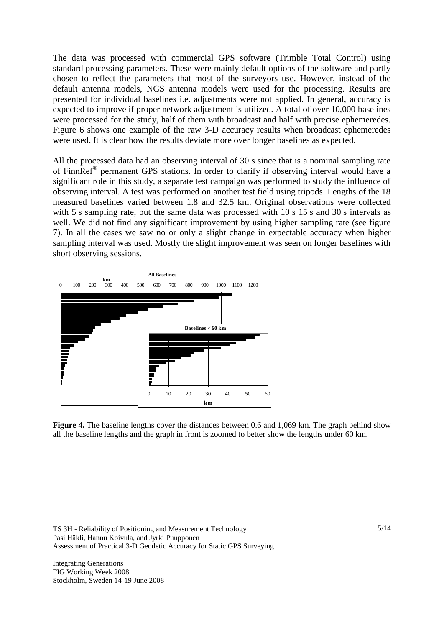The data was processed with commercial GPS software (Trimble Total Control) using standard processing parameters. These were mainly default options of the software and partly chosen to reflect the parameters that most of the surveyors use. However, instead of the default antenna models, NGS antenna models were used for the processing. Results are presented for individual baselines i.e. adjustments were not applied. In general, accuracy is expected to improve if proper network adjustment is utilized. A total of over 10,000 baselines were processed for the study, half of them with broadcast and half with precise ephemeredes. Figure 6 shows one example of the raw 3-D accuracy results when broadcast ephemeredes were used. It is clear how the results deviate more over longer baselines as expected.

All the processed data had an observing interval of 30 s since that is a nominal sampling rate of FinnRef® permanent GPS stations. In order to clarify if observing interval would have a significant role in this study, a separate test campaign was performed to study the influence of observing interval. A test was performed on another test field using tripods. Lengths of the 18 measured baselines varied between 1.8 and 32.5 km. Original observations were collected with 5 s sampling rate, but the same data was processed with 10 s 15 s and 30 s intervals as well. We did not find any significant improvement by using higher sampling rate (see figure 7). In all the cases we saw no or only a slight change in expectable accuracy when higher sampling interval was used. Mostly the slight improvement was seen on longer baselines with short observing sessions.



**Figure 4.** The baseline lengths cover the distances between 0.6 and 1,069 km. The graph behind show all the baseline lengths and the graph in front is zoomed to better show the lengths under 60 km.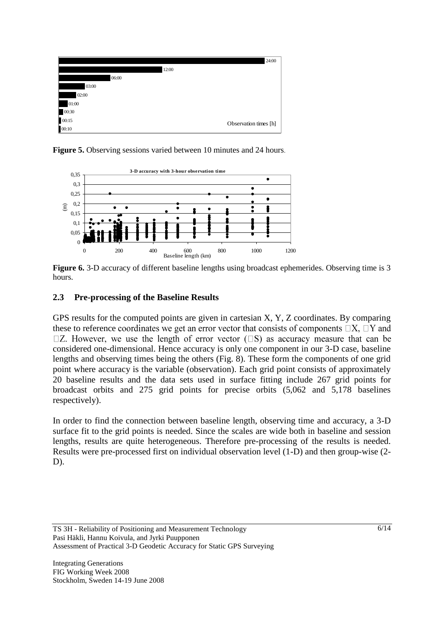

**Figure 5.** Observing sessions varied between 10 minutes and 24 hours.



**Figure 6.** 3-D accuracy of different baseline lengths using broadcast ephemerides. Observing time is 3 hours.

#### **2.3 Pre-processing of the Baseline Results**

GPS results for the computed points are given in cartesian X, Y, Z coordinates. By comparing these to reference coordinates we get an error vector that consists of components  $\Box X$ ,  $\Box Y$  and  $\Box Z$ . However, we use the length of error vector ( $\Box S$ ) as accuracy measure that can be considered one-dimensional. Hence accuracy is only one component in our 3-D case, baseline lengths and observing times being the others (Fig. 8). These form the components of one grid point where accuracy is the variable (observation). Each grid point consists of approximately 20 baseline results and the data sets used in surface fitting include 267 grid points for broadcast orbits and 275 grid points for precise orbits (5,062 and 5,178 baselines respectively).

In order to find the connection between baseline length, observing time and accuracy, a 3-D surface fit to the grid points is needed. Since the scales are wide both in baseline and session lengths, results are quite heterogeneous. Therefore pre-processing of the results is needed. Results were pre-processed first on individual observation level (1-D) and then group-wise (2- D).

TS 3H - Reliability of Positioning and Measurement Technology Pasi Häkli, Hannu Koivula, and Jyrki Puupponen Assessment of Practical 3-D Geodetic Accuracy for Static GPS Surveying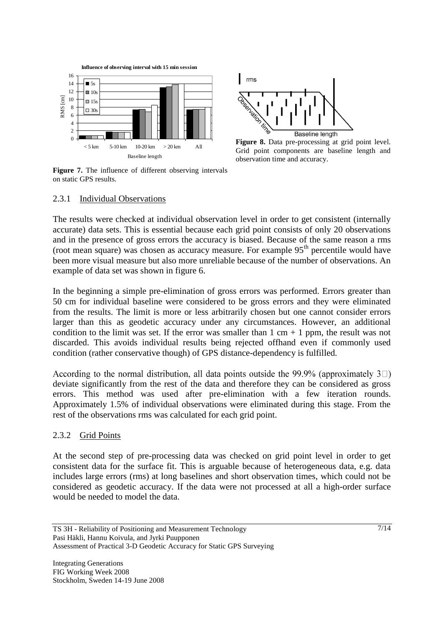



Figure 8. Data pre-processing at grid point level. Grid point components are baseline length and observation time and accuracy.

#### **Figure 7.** The influence of different observing intervals on static GPS results.

### 2.3.1 Individual Observations

The results were checked at individual observation level in order to get consistent (internally accurate) data sets. This is essential because each grid point consists of only 20 observations and in the presence of gross errors the accuracy is biased. Because of the same reason a rms (root mean square) was chosen as accuracy measure. For example  $95<sup>th</sup>$  percentile would have been more visual measure but also more unreliable because of the number of observations. An example of data set was shown in figure 6.

In the beginning a simple pre-elimination of gross errors was performed. Errors greater than 50 cm for individual baseline were considered to be gross errors and they were eliminated from the results. The limit is more or less arbitrarily chosen but one cannot consider errors larger than this as geodetic accuracy under any circumstances. However, an additional condition to the limit was set. If the error was smaller than  $1 \text{ cm} + 1 \text{ ppm}$ , the result was not discarded. This avoids individual results being rejected offhand even if commonly used condition (rather conservative though) of GPS distance-dependency is fulfilled.

According to the normal distribution, all data points outside the 99.9% (approximately  $3\Box$ ) deviate significantly from the rest of the data and therefore they can be considered as gross errors. This method was used after pre-elimination with a few iteration rounds. Approximately 1.5% of individual observations were eliminated during this stage. From the rest of the observations rms was calculated for each grid point.

#### 2.3.2 Grid Points

At the second step of pre-processing data was checked on grid point level in order to get consistent data for the surface fit. This is arguable because of heterogeneous data, e.g. data includes large errors (rms) at long baselines and short observation times, which could not be considered as geodetic accuracy. If the data were not processed at all a high-order surface would be needed to model the data.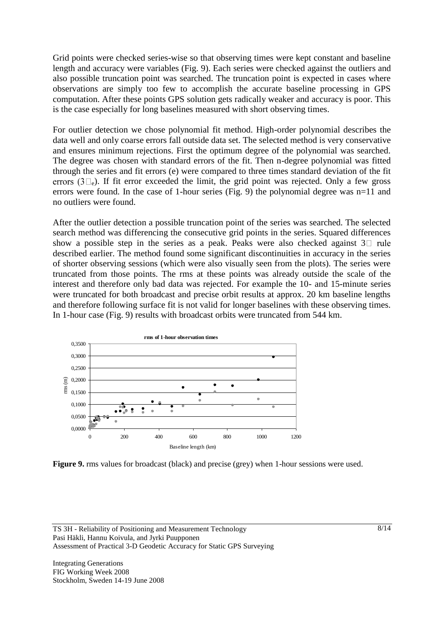Grid points were checked series-wise so that observing times were kept constant and baseline length and accuracy were variables (Fig. 9). Each series were checked against the outliers and also possible truncation point was searched. The truncation point is expected in cases where observations are simply too few to accomplish the accurate baseline processing in GPS computation. After these points GPS solution gets radically weaker and accuracy is poor. This is the case especially for long baselines measured with short observing times.

For outlier detection we chose polynomial fit method. High-order polynomial describes the data well and only coarse errors fall outside data set. The selected method is very conservative and ensures minimum rejections. First the optimum degree of the polynomial was searched. The degree was chosen with standard errors of the fit. Then n-degree polynomial was fitted through the series and fit errors (e) were compared to three times standard deviation of the fit errors  $(3\Box_e)$ . If fit error exceeded the limit, the grid point was rejected. Only a few gross errors were found. In the case of 1-hour series (Fig. 9) the polynomial degree was n=11 and no outliers were found.

After the outlier detection a possible truncation point of the series was searched. The selected search method was differencing the consecutive grid points in the series. Squared differences show a possible step in the series as a peak. Peaks were also checked against  $3\square$  rule described earlier. The method found some significant discontinuities in accuracy in the series of shorter observing sessions (which were also visually seen from the plots). The series were truncated from those points. The rms at these points was already outside the scale of the interest and therefore only bad data was rejected. For example the 10- and 15-minute series were truncated for both broadcast and precise orbit results at approx. 20 km baseline lengths and therefore following surface fit is not valid for longer baselines with these observing times. In 1-hour case (Fig. 9) results with broadcast orbits were truncated from 544 km.



**Figure 9.** rms values for broadcast (black) and precise (grey) when 1-hour sessions were used.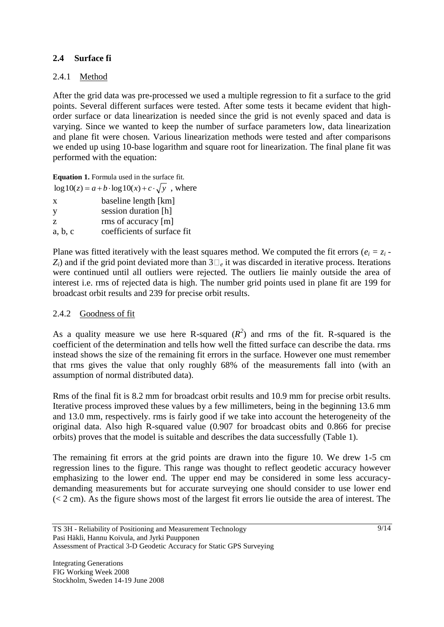### **2.4 Surface fi**

### 2.4.1 Method

After the grid data was pre-processed we used a multiple regression to fit a surface to the grid points. Several different surfaces were tested. After some tests it became evident that highorder surface or data linearization is needed since the grid is not evenly spaced and data is varying. Since we wanted to keep the number of surface parameters low, data linearization and plane fit were chosen. Various linearization methods were tested and after comparisons we ended up using 10-base logarithm and square root for linearization. The final plane fit was performed with the equation:

**Equation 1.** Formula used in the surface fit.

|         | $\log 10(z) = a + b \cdot \log 10(x) + c \cdot \sqrt{y}$ , where |
|---------|------------------------------------------------------------------|
| X       | baseline length [km]                                             |
| y       | session duration [h]                                             |
| Z.      | rms of accuracy [m]                                              |
| a, b, c | coefficients of surface fit                                      |

Plane was fitted iteratively with the least squares method. We computed the fit errors ( $e_i = z_i$ )  $Z_i$ ) and if the grid point deviated more than  $3\Box_e$  it was discarded in iterative process. Iterations were continued until all outliers were rejected. The outliers lie mainly outside the area of interest i.e. rms of rejected data is high. The number grid points used in plane fit are 199 for broadcast orbit results and 239 for precise orbit results.

#### 2.4.2 Goodness of fit

As a quality measure we use here R-squared  $(R^2)$  and rms of the fit. R-squared is the coefficient of the determination and tells how well the fitted surface can describe the data. rms instead shows the size of the remaining fit errors in the surface. However one must remember that rms gives the value that only roughly 68% of the measurements fall into (with an assumption of normal distributed data).

Rms of the final fit is 8.2 mm for broadcast orbit results and 10.9 mm for precise orbit results. Iterative process improved these values by a few millimeters, being in the beginning 13.6 mm and 13.0 mm, respectively. rms is fairly good if we take into account the heterogeneity of the original data. Also high R-squared value (0.907 for broadcast obits and 0.866 for precise orbits) proves that the model is suitable and describes the data successfully (Table 1).

The remaining fit errors at the grid points are drawn into the figure 10. We drew 1-5 cm regression lines to the figure. This range was thought to reflect geodetic accuracy however emphasizing to the lower end. The upper end may be considered in some less accuracydemanding measurements but for accurate surveying one should consider to use lower end (< 2 cm). As the figure shows most of the largest fit errors lie outside the area of interest. The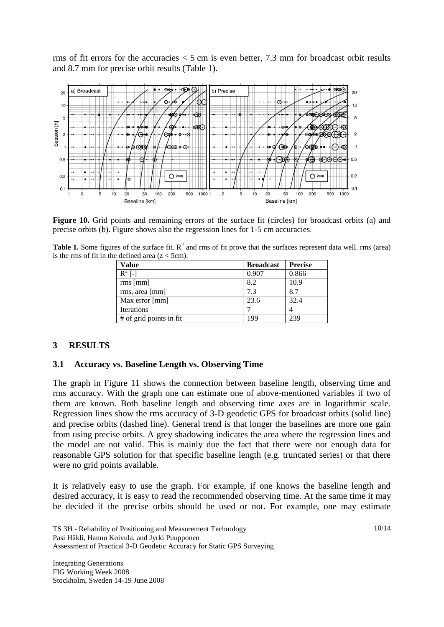rms of fit errors for the accuracies < 5 cm is even better, 7.3 mm for broadcast orbit results and 8.7 mm for precise orbit results (Table 1).



**Figure 10.** Grid points and remaining errors of the surface fit (circles) for broadcast orbits (a) and precise orbits (b). Figure shows also the regression lines for 1-5 cm accuracies.

**Table 1.** Some figures of the surface fit.  $R^2$  and rms of fit prove that the surfaces represent data well. rms (area) is the rms of fit in the defined area  $(z < 5cm)$ .

| Value                   | <b>Broadcast</b> | <b>Precise</b> |
|-------------------------|------------------|----------------|
| $R^2$ [-]               | 0.907            | 0.866          |
| rms [mm]                | 8.2              | 10.9           |
| rms, area [mm]          | 7.3              | 8.7            |
| Max error [mm]          | 23.6             | 32.4           |
| Iterations              |                  |                |
| # of grid points in fit | 199              | 239            |

#### **3 RESULTS**

#### **3.1 Accuracy vs. Baseline Length vs. Observing Time**

The graph in Figure 11 shows the connection between baseline length, observing time and rms accuracy. With the graph one can estimate one of above-mentioned variables if two of them are known. Both baseline length and observing time axes are in logarithmic scale. Regression lines show the rms accuracy of 3-D geodetic GPS for broadcast orbits (solid line) and precise orbits (dashed line). General trend is that longer the baselines are more one gain from using precise orbits. A grey shadowing indicates the area where the regression lines and the model are not valid. This is mainly due the fact that there were not enough data for reasonable GPS solution for that specific baseline length (e.g. truncated series) or that there were no grid points available.

It is relatively easy to use the graph. For example, if one knows the baseline length and desired accuracy, it is easy to read the recommended observing time. At the same time it may be decided if the precise orbits should be used or not. For example, one may estimate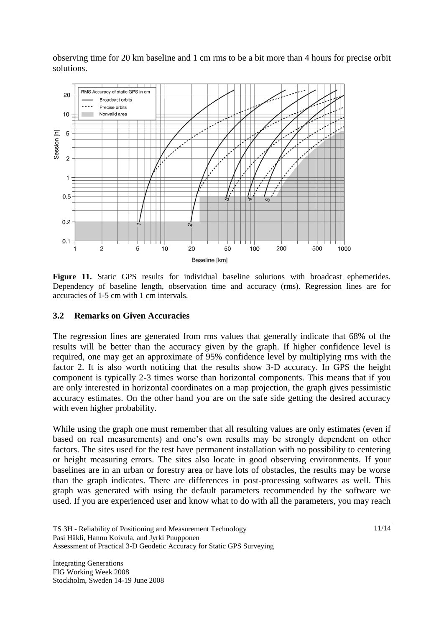observing time for 20 km baseline and 1 cm rms to be a bit more than 4 hours for precise orbit solutions.



Figure 11. Static GPS results for individual baseline solutions with broadcast ephemerides. Dependency of baseline length, observation time and accuracy (rms). Regression lines are for accuracies of 1-5 cm with 1 cm intervals.

#### **3.2 Remarks on Given Accuracies**

The regression lines are generated from rms values that generally indicate that 68% of the results will be better than the accuracy given by the graph. If higher confidence level is required, one may get an approximate of 95% confidence level by multiplying rms with the factor 2. It is also worth noticing that the results show 3-D accuracy. In GPS the height component is typically 2-3 times worse than horizontal components. This means that if you are only interested in horizontal coordinates on a map projection, the graph gives pessimistic accuracy estimates. On the other hand you are on the safe side getting the desired accuracy with even higher probability.

While using the graph one must remember that all resulting values are only estimates (even if based on real measurements) and one's own results may be strongly dependent on other factors. The sites used for the test have permanent installation with no possibility to centering or height measuring errors. The sites also locate in good observing environments. If your baselines are in an urban or forestry area or have lots of obstacles, the results may be worse than the graph indicates. There are differences in post-processing softwares as well. This graph was generated with using the default parameters recommended by the software we used. If you are experienced user and know what to do with all the parameters, you may reach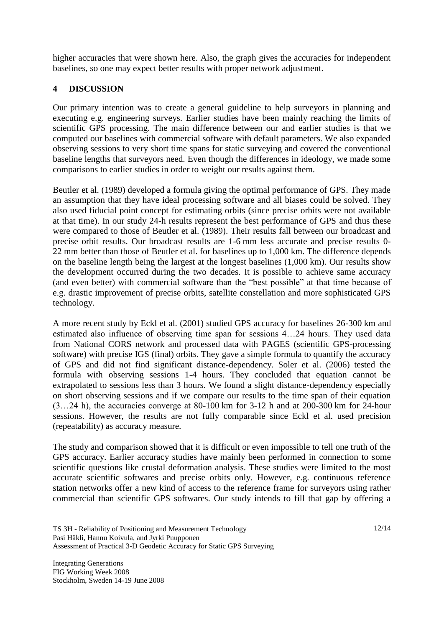higher accuracies that were shown here. Also, the graph gives the accuracies for independent baselines, so one may expect better results with proper network adjustment.

## **4 DISCUSSION**

Our primary intention was to create a general guideline to help surveyors in planning and executing e.g. engineering surveys. Earlier studies have been mainly reaching the limits of scientific GPS processing. The main difference between our and earlier studies is that we computed our baselines with commercial software with default parameters. We also expanded observing sessions to very short time spans for static surveying and covered the conventional baseline lengths that surveyors need. Even though the differences in ideology, we made some comparisons to earlier studies in order to weight our results against them.

Beutler et al. (1989) developed a formula giving the optimal performance of GPS. They made an assumption that they have ideal processing software and all biases could be solved. They also used fiducial point concept for estimating orbits (since precise orbits were not available at that time). In our study 24-h results represent the best performance of GPS and thus these were compared to those of Beutler et al. (1989). Their results fall between our broadcast and precise orbit results. Our broadcast results are 1-6 mm less accurate and precise results 0- 22 mm better than those of Beutler et al. for baselines up to 1,000 km. The difference depends on the baseline length being the largest at the longest baselines (1,000 km). Our results show the development occurred during the two decades. It is possible to achieve same accuracy (and even better) with commercial software than the "best possible" at that time because of e.g. drastic improvement of precise orbits, satellite constellation and more sophisticated GPS technology.

A more recent study by Eckl et al. (2001) studied GPS accuracy for baselines 26-300 km and estimated also influence of observing time span for sessions 4…24 hours. They used data from National CORS network and processed data with PAGES (scientific GPS-processing software) with precise IGS (final) orbits. They gave a simple formula to quantify the accuracy of GPS and did not find significant distance-dependency. Soler et al. (2006) tested the formula with observing sessions 1-4 hours. They concluded that equation cannot be extrapolated to sessions less than 3 hours. We found a slight distance-dependency especially on short observing sessions and if we compare our results to the time span of their equation (3…24 h), the accuracies converge at 80-100 km for 3-12 h and at 200-300 km for 24-hour sessions. However, the results are not fully comparable since Eckl et al. used precision (repeatability) as accuracy measure.

The study and comparison showed that it is difficult or even impossible to tell one truth of the GPS accuracy. Earlier accuracy studies have mainly been performed in connection to some scientific questions like crustal deformation analysis. These studies were limited to the most accurate scientific softwares and precise orbits only. However, e.g. continuous reference station networks offer a new kind of access to the reference frame for surveyors using rather commercial than scientific GPS softwares. Our study intends to fill that gap by offering a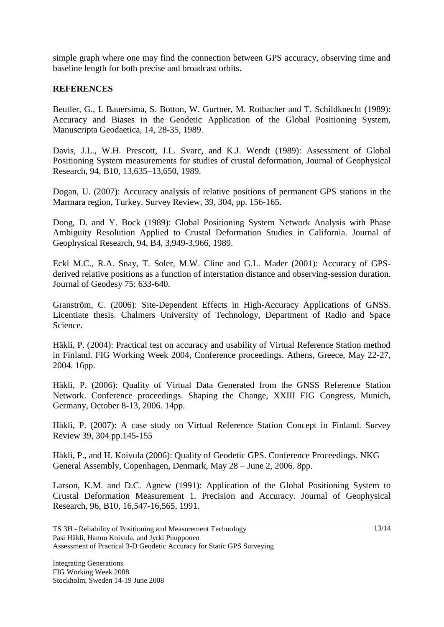simple graph where one may find the connection between GPS accuracy, observing time and baseline length for both precise and broadcast orbits.

#### **REFERENCES**

Beutler, G., I. Bauersima, S. Botton, W. Gurtner, M. Rothacher and T. Schildknecht (1989): Accuracy and Biases in the Geodetic Application of the Global Positioning System, Manuscripta Geodaetica, 14, 28-35, 1989.

Davis, J.L., W.H. Prescott, J.L. Svarc, and K.J. Wendt (1989): Assessment of Global Positioning System measurements for studies of crustal deformation, Journal of Geophysical Research, 94, B10, 13,635–13,650, 1989.

Dogan, U. (2007): Accuracy analysis of relative positions of permanent GPS stations in the Marmara region, Turkey. Survey Review, 39, 304, pp. 156-165.

Dong, D. and Y. Bock (1989): Global Positioning System Network Analysis with Phase Ambiguity Resolution Applied to Crustal Deformation Studies in California. Journal of Geophysical Research, 94, B4, 3,949-3,966, 1989.

Eckl M.C., R.A. Snay, T. Soler, M.W. Cline and G.L. Mader (2001): Accuracy of GPSderived relative positions as a function of interstation distance and observing-session duration. Journal of Geodesy 75: 633-640.

Granström, C. (2006): Site-Dependent Effects in High-Accuracy Applications of GNSS. Licentiate thesis. Chalmers University of Technology, Department of Radio and Space Science.

Häkli, P. (2004): Practical test on accuracy and usability of Virtual Reference Station method in Finland. FIG Working Week 2004, Conference proceedings. Athens, Greece, May 22-27, 2004. 16pp.

Häkli, P. (2006): Quality of Virtual Data Generated from the GNSS Reference Station Network. Conference proceedings. Shaping the Change, XXIII FIG Congress, Munich, Germany, October 8-13, 2006. 14pp.

Häkli, P. (2007): A case study on Virtual Reference Station Concept in Finland. Survey Review 39, 304 pp.145-155

Häkli, P., and H. Koivula (2006): Quality of Geodetic GPS. Conference Proceedings. NKG General Assembly, Copenhagen, Denmark, May 28 – June 2, 2006. 8pp.

Larson, K.M. and D.C. Agnew (1991): Application of the Global Positioning System to Crustal Deformation Measurement 1. Precision and Accuracy. Journal of Geophysical Research, 96, B10, 16,547-16,565, 1991.